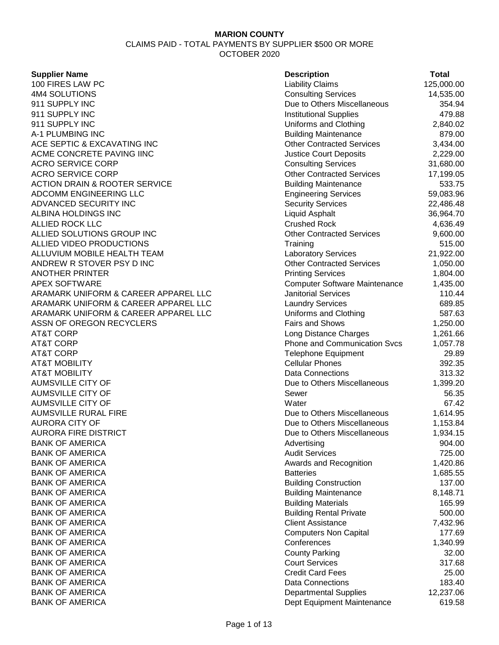| <b>Supplier Name</b>                     | <b>Description</b>                   | <b>Total</b> |
|------------------------------------------|--------------------------------------|--------------|
| 100 FIRES LAW PC                         | <b>Liability Claims</b>              | 125,000.00   |
| 4M4 SOLUTIONS                            | <b>Consulting Services</b>           | 14,535.00    |
| 911 SUPPLY INC                           | Due to Others Miscellaneous          | 354.94       |
| 911 SUPPLY INC                           | <b>Institutional Supplies</b>        | 479.88       |
| 911 SUPPLY INC                           | Uniforms and Clothing                | 2,840.02     |
| A-1 PLUMBING INC                         | <b>Building Maintenance</b>          | 879.00       |
| ACE SEPTIC & EXCAVATING INC              | <b>Other Contracted Services</b>     | 3,434.00     |
| ACME CONCRETE PAVING IINC                | <b>Justice Court Deposits</b>        | 2,229.00     |
| <b>ACRO SERVICE CORP</b>                 | <b>Consulting Services</b>           | 31,680.00    |
| <b>ACRO SERVICE CORP</b>                 | <b>Other Contracted Services</b>     | 17,199.05    |
| <b>ACTION DRAIN &amp; ROOTER SERVICE</b> | <b>Building Maintenance</b>          | 533.75       |
| ADCOMM ENGINEERING LLC                   | <b>Engineering Services</b>          | 59,083.96    |
| ADVANCED SECURITY INC                    | <b>Security Services</b>             | 22,486.48    |
| ALBINA HOLDINGS INC                      | Liquid Asphalt                       | 36,964.70    |
| <b>ALLIED ROCK LLC</b>                   | <b>Crushed Rock</b>                  | 4,636.49     |
| ALLIED SOLUTIONS GROUP INC               | <b>Other Contracted Services</b>     | 9,600.00     |
| ALLIED VIDEO PRODUCTIONS                 | Training                             | 515.00       |
| ALLUVIUM MOBILE HEALTH TEAM              | <b>Laboratory Services</b>           | 21,922.00    |
| ANDREW R STOVER PSY D INC                | <b>Other Contracted Services</b>     | 1,050.00     |
| <b>ANOTHER PRINTER</b>                   | <b>Printing Services</b>             | 1,804.00     |
| <b>APEX SOFTWARE</b>                     | <b>Computer Software Maintenance</b> | 1,435.00     |
| ARAMARK UNIFORM & CAREER APPAREL LLC     | <b>Janitorial Services</b>           | 110.44       |
| ARAMARK UNIFORM & CAREER APPAREL LLC     | <b>Laundry Services</b>              | 689.85       |
| ARAMARK UNIFORM & CAREER APPAREL LLC     | Uniforms and Clothing                | 587.63       |
| ASSN OF OREGON RECYCLERS                 | <b>Fairs and Shows</b>               | 1,250.00     |
| <b>AT&amp;T CORP</b>                     | Long Distance Charges                | 1,261.66     |
| <b>AT&amp;T CORP</b>                     | <b>Phone and Communication Svcs</b>  | 1,057.78     |
| <b>AT&amp;T CORP</b>                     | <b>Telephone Equipment</b>           | 29.89        |
| <b>AT&amp;T MOBILITY</b>                 | <b>Cellular Phones</b>               | 392.35       |
| <b>AT&amp;T MOBILITY</b>                 | <b>Data Connections</b>              | 313.32       |
| <b>AUMSVILLE CITY OF</b>                 | Due to Others Miscellaneous          | 1,399.20     |
| <b>AUMSVILLE CITY OF</b>                 | Sewer                                | 56.35        |
| <b>AUMSVILLE CITY OF</b>                 | Water                                | 67.42        |
| <b>AUMSVILLE RURAL FIRE</b>              | Due to Others Miscellaneous          | 1,614.95     |
| <b>AURORA CITY OF</b>                    | Due to Others Miscellaneous          | 1,153.84     |
| <b>AURORA FIRE DISTRICT</b>              | Due to Others Miscellaneous          | 1,934.15     |
| <b>BANK OF AMERICA</b>                   | Advertising                          | 904.00       |
| <b>BANK OF AMERICA</b>                   | <b>Audit Services</b>                | 725.00       |
| <b>BANK OF AMERICA</b>                   | Awards and Recognition               | 1,420.86     |
| <b>BANK OF AMERICA</b>                   | <b>Batteries</b>                     | 1,685.55     |
| <b>BANK OF AMERICA</b>                   | <b>Building Construction</b>         | 137.00       |
| <b>BANK OF AMERICA</b>                   | <b>Building Maintenance</b>          | 8,148.71     |
| <b>BANK OF AMERICA</b>                   | <b>Building Materials</b>            | 165.99       |
| <b>BANK OF AMERICA</b>                   | <b>Building Rental Private</b>       | 500.00       |
| <b>BANK OF AMERICA</b>                   | <b>Client Assistance</b>             | 7,432.96     |
| <b>BANK OF AMERICA</b>                   | <b>Computers Non Capital</b>         | 177.69       |
| <b>BANK OF AMERICA</b>                   | Conferences                          | 1,340.99     |
| <b>BANK OF AMERICA</b>                   | <b>County Parking</b>                | 32.00        |
| <b>BANK OF AMERICA</b>                   | <b>Court Services</b>                | 317.68       |
| <b>BANK OF AMERICA</b>                   | <b>Credit Card Fees</b>              | 25.00        |
| <b>BANK OF AMERICA</b>                   | Data Connections                     | 183.40       |
| <b>BANK OF AMERICA</b>                   | <b>Departmental Supplies</b>         | 12,237.06    |
| <b>BANK OF AMERICA</b>                   | Dept Equipment Maintenance           | 619.58       |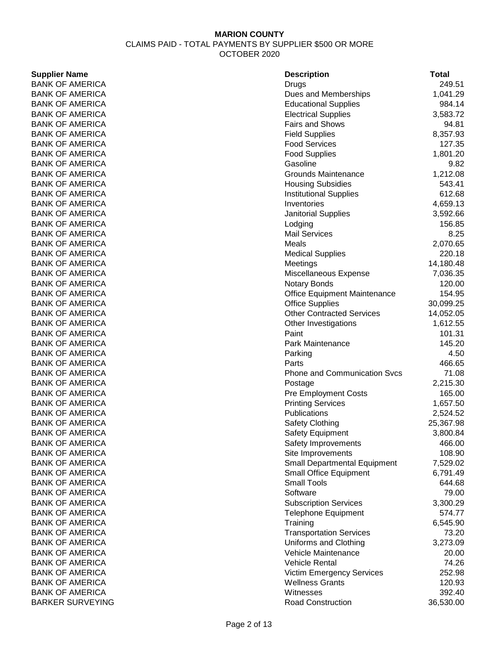### **Supplier Name**

**BANK OF AMERICA** BANK OF AMERICA **BANK OF AMERICA** BANK OF AMERICA BANK OF AMERICA **BANK OF AMERICA BANK OF AMERICA BANK OF AMERICA BANK OF AMERICA BANK OF AMERICA BANK OF AMERICA BANK OF AMERICA BANK OF AMERICA BANK OF AMERICA BANK OF AMERICA BANK OF AMERICA BANK OF AMERICA BANK OF AMERICA BANK OF AMERICA BANK OF AMERICA BANK OF AMERICA BANK OF AMERICA BANK OF AMERICA** BANK OF AMERICA BANK OF AMERICA **BANK OF AMERICA BANK OF AMERICA BANK OF AMERICA BANK OF AMERICA BANK OF AMERICA** BANK OF AMERICA **BANK OF AMERICA** BANK OF AMERICA **BANK OF AMERICA BANK OF AMERICA BANK OF AMERICA BANK OF AMERICA BANK OF AMERICA** BANK OF AMERICA BANK OF AMERICA **BANK OF AMERICA BANK OF AMERICA BANK OF AMERICA BANK OF AMERICA BANK OF AMERICA BANK OF AMERICA BANK OF AMERICA BANK OF AMERICA BANK OF AMERICA BANK OF AMERICA BANK OF AMERICA BANK OF AMERICA BARKER SURVEYING** 

| <b>Description</b>                  | Total          |
|-------------------------------------|----------------|
| Drugs                               | 249.51         |
| Dues and Memberships                | 1,041.29       |
| <b>Educational Supplies</b>         | 984.14         |
| <b>Electrical Supplies</b>          | 3,583.72       |
| <b>Fairs and Shows</b>              | 94.81          |
| <b>Field Supplies</b>               | 8,357.93       |
| <b>Food Services</b>                | 127.35         |
| <b>Food Supplies</b>                | 1,801.20       |
| Gasoline                            | 9.82           |
| <b>Grounds Maintenance</b>          | 1,212.08       |
| <b>Housing Subsidies</b>            | 543.41         |
| <b>Institutional Supplies</b>       | 612.68         |
| Inventories                         | 4,659.13       |
| <b>Janitorial Supplies</b>          | 3,592.66       |
| Lodging                             | 156.85         |
| <b>Mail Services</b>                | 8.25           |
| Meals                               | 2,070.65       |
| <b>Medical Supplies</b>             | 220.18         |
| Meetings                            | 14,180.48      |
| Miscellaneous Expense               | 7,036.35       |
| Notary Bonds                        | 120.00         |
| Office Equipment Maintenance        | 154.95         |
| <b>Office Supplies</b>              | 30,099.25      |
| <b>Other Contracted Services</b>    | 14,052.05      |
| Other Investigations                | 1,612.55       |
| Paint                               | 101.31         |
| Park Maintenance                    | 145.20         |
| Parking<br>Parts                    | 4.50<br>466.65 |
| <b>Phone and Communication Svcs</b> | 71.08          |
| Postage                             | 2,215.30       |
| <b>Pre Employment Costs</b>         | 165.00         |
| <b>Printing Services</b>            | 1,657.50       |
| Publications                        | 2,524.52       |
| Safety Clothing                     | 25,367.98      |
| <b>Safety Equipment</b>             | 3,800.84       |
| Safety Improvements                 | 466.00         |
| Site Improvements                   | 108.90         |
| <b>Small Departmental Equipment</b> | 7,529.02       |
| <b>Small Office Equipment</b>       | 6,791.49       |
| <b>Small Tools</b>                  | 644.68         |
| Software                            | 79.00          |
| <b>Subscription Services</b>        | 3,300.29       |
| <b>Telephone Equipment</b>          | 574.77         |
| Training                            | 6,545.90       |
| <b>Transportation Services</b>      | 73.20          |
| Uniforms and Clothing               | 3,273.09       |
| <b>Vehicle Maintenance</b>          | 20.00          |
| <b>Vehicle Rental</b>               | 74.26          |
| <b>Victim Emergency Services</b>    | 252.98         |
| <b>Wellness Grants</b>              | 120.93         |
| Witnesses                           | 392.40         |
| <b>Road Construction</b>            | 36,530.00      |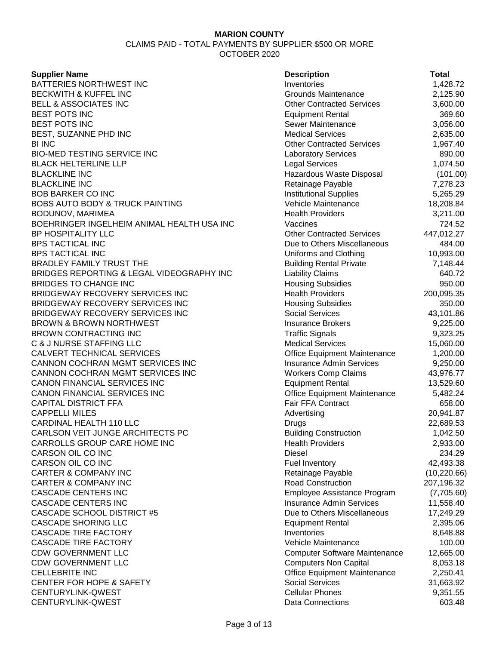CLAIMS PAID - TOTAL PAYMENTS BY SUPPLIER \$500 OR MORE OCTOBER 2020

### **Supplier Name**

BATTERIES NORTHWEST INC BECKWITH & KUFFEL INC BELL & ASSOCIATES INC **BEST POTS INC BEST POTS INC** BEST, SUZANNE PHD INC BI INC **Other Contracted Services** 1,967.40 BIO-MED TESTING SERVICE INC BLACK HELTERLINE LLP **BLACKLINE INC BLACKLINE INC BOB BARKER CO INC** BOBS AUTO BODY & TRUCK PAINTING BODUNOV, MARIMEA BOEHRINGER INGELHEIM ANIMAL HEALTH USA INC BP HOSPITALITY LLC BPS TACTICAL INC **BPS TACTICAL INC** BRADLEY FAMILY TRUST THE BRIDGES REPORTING & LEGAL VIDEOGRAPHY INC BRIDGES TO CHANGE INC BRIDGEWAY RECOVERY SERVICES INC BRIDGEWAY RECOVERY SERVICES INC BRIDGEWAY RECOVERY SERVICES INC BROWN & BROWN NORTHWEST BROWN CONTRACTING INC C & J NURSE STAFFING LLC CALVERT TECHNICAL SERVICES CANNON COCHRAN MGMT SERVICES INC CANNON COCHRAN MGMT SERVICES INC CANON FINANCIAL SERVICES INC CANON FINANCIAL SERVICES INC CAPITAL DISTRICT FFA **CAPPELLI MILES** CARDINAL HEALTH 110 LLC CARLSON VEIT JUNGE ARCHITECTS PC CARROLLS GROUP CARE HOME INC CARSON OIL CO INC CARSON OIL CO INC **CARTER & COMPANY INC CARTER & COMPANY INC** CASCADE CENTERS INC CASCADE CENTERS INC CASCADE SCHOOL DISTRICT #5 CASCADE SHORING LLC **CASCADE TIRE FACTORY CASCADE TIRE FACTORY** CDW GOVERNMENT LLC CDW GOVERNMENT LLC **CELLEBRITE INC** CENTER FOR HOPE & SAFETY CENTURYLINK-QWEST CENTURYLINK-QWEST

| <b>Description</b>                            | Total                   |
|-----------------------------------------------|-------------------------|
| Inventories                                   | 1,428.72                |
| <b>Grounds Maintenance</b>                    | 2,125.90                |
| <b>Other Contracted Services</b>              | 3,600.00                |
| <b>Equipment Rental</b>                       | 369.60                  |
| Sewer Maintenance                             | 3,056.00                |
| <b>Medical Services</b>                       | 2,635.00                |
| <b>Other Contracted Services</b>              | 1,967.40                |
| <b>Laboratory Services</b>                    | 890.00                  |
| <b>Legal Services</b>                         | 1,074.50                |
| Hazardous Waste Disposal                      | (101.00)                |
| Retainage Payable                             | 7,278.23                |
| <b>Institutional Supplies</b>                 | 5,265.29                |
| <b>Vehicle Maintenance</b>                    | 18,208.84               |
| <b>Health Providers</b>                       | 3,211.00                |
| Vaccines                                      | 724.52                  |
| <b>Other Contracted Services</b>              | 447,012.27              |
| Due to Others Miscellaneous                   | 484.00                  |
| Uniforms and Clothing                         | 10,993.00               |
| <b>Building Rental Private</b>                | 7,148.44                |
| <b>Liability Claims</b>                       | 640.72                  |
| <b>Housing Subsidies</b>                      | 950.00                  |
| <b>Health Providers</b>                       | 200,095.35              |
| <b>Housing Subsidies</b>                      | 350.00                  |
| <b>Social Services</b>                        | 43,101.86               |
| <b>Insurance Brokers</b>                      | 9,225.00                |
| <b>Traffic Signals</b>                        | 9,323.25                |
| <b>Medical Services</b>                       | 15,060.00               |
| <b>Office Equipment Maintenance</b>           | 1,200.00                |
| <b>Insurance Admin Services</b>               | 9,250.00                |
| <b>Workers Comp Claims</b>                    | 43,976.77               |
| <b>Equipment Rental</b>                       | 13,529.60               |
| <b>Office Equipment Maintenance</b>           | 5,482.24                |
| Fair FFA Contract                             | 658.00                  |
| Advertising                                   | 20,941.87               |
| Drugs                                         | 22,689.53               |
| <b>Building Construction</b>                  | 1,042.50                |
| <b>Health Providers</b>                       | 2,933.00                |
| <b>Diesel</b>                                 | 234.29                  |
| <b>Fuel Inventory</b>                         | 42,493.38               |
| Retainage Payable<br><b>Road Construction</b> | (10, 220.66)            |
| Employee Assistance Program                   | 207,196.32              |
| <b>Insurance Admin Services</b>               | (7,705.60)<br>11,558.40 |
| Due to Others Miscellaneous                   | 17,249.29               |
| <b>Equipment Rental</b>                       | 2,395.06                |
| Inventories                                   | 8,648.88                |
| <b>Vehicle Maintenance</b>                    | 100.00                  |
| <b>Computer Software Maintenance</b>          | 12,665.00               |
| <b>Computers Non Capital</b>                  | 8,053.18                |
| <b>Office Equipment Maintenance</b>           | 2,250.41                |
| <b>Social Services</b>                        | 31,663.92               |
| <b>Cellular Phones</b>                        | 9,351.55                |
| Data Connections                              | 603.48                  |
|                                               |                         |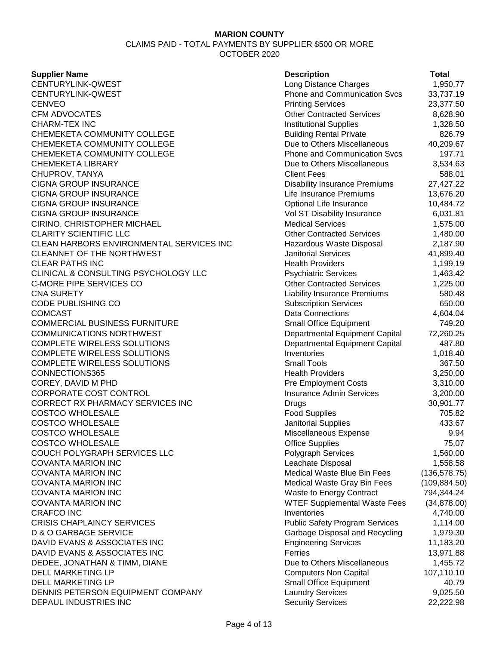### **Supplier Name**

CENTURYLINK-QWEST CENTURYLINK-QWEST CENVEO Printing Services 23,377.50 CFM ADVOCATES **CHARM-TEX INC** CHEMEKETA COMMUNITY COLLEGE CHEMEKETA COMMUNITY COLLEGE CHEMEKETA COMMUNITY COLLEGE CHEMEKETA LIBRARY CHUPROV, TANYA CIGNA GROUP INSURANCE CIGNA GROUP INSURANCE CIGNA GROUP INSURANCE CIGNA GROUP INSURANCE CIRINO, CHRISTOPHER MICHAEL **CLARITY SCIENTIFIC LLC** CLEAN HARBORS ENVIRONMENTAL SERVICES INC CLEANNET OF THE NORTHWEST **CLEAR PATHS INC** CLINICAL & CONSULTING PSYCHOLOGY LLC C-MORE PIPE SERVICES CO CNA SURETY Liability Insurance Premiums 580.48 CODE PUBLISHING CO. COMCAST Data Connections 4,604.04 COMMERCIAL BUSINESS FURNITURE COMMUNICATIONS NORTHWEST COMPLETE WIRELESS SOLUTIONS COMPLETE WIRELESS SOLUTIONS COMPLETE WIRELESS SOLUTIONS CONNECTIONS365 COREY, DAVID M PHD CORPORATE COST CONTROL CORRECT RX PHARMACY SERVICES INC **COSTCO WHOLESALE** COSTCO WHOLESALE COSTCO WHOLESALE **COSTCO WHOLESALE** COUCH POLYGRAPH SERVICES LLC COVANTA MARION INC COVANTA MARION INC **COVANTA MARION INC COVANTA MARION INC** COVANTA MARION INC CRAFCO INC Inventories 4,740.00 **CRISIS CHAPLAINCY SERVICES** D & O GARBAGE SERVICE DAVID EVANS & ASSOCIATES INC DAVID EVANS & ASSOCIATES INC DEDEE, JONATHAN & TIMM, DIANE DELL MARKETING LP DELL MARKETING LP DENNIS PETERSON EQUIPMENT COMPANY DEPAUL INDUSTRIES INC

| <b>Description</b>                                               | Total               |
|------------------------------------------------------------------|---------------------|
| Long Distance Charges                                            | 1,950.77            |
| <b>Phone and Communication Svcs</b>                              | 33,737.19           |
| <b>Printing Services</b>                                         | 23,377.50           |
| <b>Other Contracted Services</b>                                 | 8,628.90            |
| <b>Institutional Supplies</b>                                    | 1,328.50            |
| <b>Building Rental Private</b>                                   | 826.79              |
| Due to Others Miscellaneous                                      | 40,209.67           |
| <b>Phone and Communication Svcs</b>                              | 197.71              |
| Due to Others Miscellaneous                                      | 3,534.63            |
| <b>Client Fees</b>                                               | 588.01              |
| <b>Disability Insurance Premiums</b>                             | 27,427.22           |
| Life Insurance Premiums                                          | 13,676.20           |
| Optional Life Insurance                                          | 10,484.72           |
| Vol ST Disability Insurance                                      | 6,031.81            |
| <b>Medical Services</b>                                          | 1,575.00            |
| <b>Other Contracted Services</b>                                 | 1,480.00            |
| Hazardous Waste Disposal                                         | 2,187.90            |
| <b>Janitorial Services</b>                                       | 41,899.40           |
| <b>Health Providers</b>                                          | 1,199.19            |
| <b>Psychiatric Services</b>                                      | 1,463.42            |
| <b>Other Contracted Services</b>                                 | 1,225.00            |
| <b>Liability Insurance Premiums</b>                              | 580.48              |
| <b>Subscription Services</b>                                     | 650.00              |
| Data Connections                                                 | 4,604.04            |
| Small Office Equipment                                           | 749.20<br>72,260.25 |
| Departmental Equipment Capital<br>Departmental Equipment Capital | 487.80              |
| Inventories                                                      | 1,018.40            |
| <b>Small Tools</b>                                               | 367.50              |
| <b>Health Providers</b>                                          | 3,250.00            |
| <b>Pre Employment Costs</b>                                      | 3,310.00            |
| <b>Insurance Admin Services</b>                                  | 3,200.00            |
| Drugs                                                            | 30,901.77           |
| <b>Food Supplies</b>                                             | 705.82              |
| Janitorial Supplies                                              | 433.67              |
| Miscellaneous Expense                                            | 9.94                |
| <b>Office Supplies</b>                                           | 75.07               |
| <b>Polygraph Services</b>                                        | 1,560.00            |
| Leachate Disposal                                                | 1,558.58            |
| <b>Medical Waste Blue Bin Fees</b>                               | (136, 578.75)       |
| Medical Waste Gray Bin Fees                                      | (109, 884.50)       |
| <b>Waste to Energy Contract</b>                                  | 794,344.24          |
| <b>WTEF Supplemental Waste Fees</b>                              | (34, 878.00)        |
| Inventories                                                      | 4,740.00            |
| <b>Public Safety Program Services</b>                            | 1,114.00            |
| Garbage Disposal and Recycling                                   | 1,979.30            |
| <b>Engineering Services</b>                                      | 11,183.20           |
| Ferries                                                          | 13,971.88           |
| Due to Others Miscellaneous                                      | 1,455.72            |
| <b>Computers Non Capital</b>                                     | 107,110.10          |
| Small Office Equipment                                           | 40.79               |
| <b>Laundry Services</b>                                          | 9,025.50            |
| <b>Security Services</b>                                         | 22,222.98           |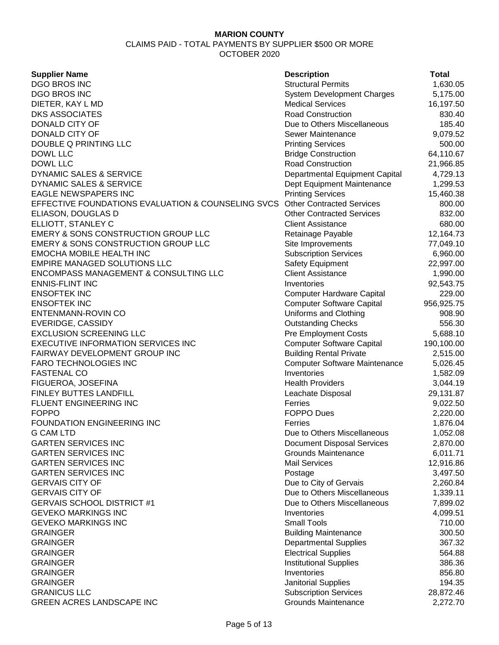| <b>Supplier Name</b>                               | <b>Description</b>                   | Total      |
|----------------------------------------------------|--------------------------------------|------------|
| <b>DGO BROS INC</b>                                | <b>Structural Permits</b>            | 1,630.05   |
| <b>DGO BROS INC</b>                                | <b>System Development Charges</b>    | 5,175.00   |
| DIETER, KAY L MD                                   | <b>Medical Services</b>              | 16,197.50  |
| <b>DKS ASSOCIATES</b>                              | <b>Road Construction</b>             | 830.40     |
| DONALD CITY OF                                     | Due to Others Miscellaneous          | 185.40     |
| DONALD CITY OF                                     | Sewer Maintenance                    | 9,079.52   |
| DOUBLE Q PRINTING LLC                              | <b>Printing Services</b>             | 500.00     |
| DOWL LLC                                           | <b>Bridge Construction</b>           | 64,110.67  |
| DOWL LLC                                           | <b>Road Construction</b>             | 21,966.85  |
| DYNAMIC SALES & SERVICE                            |                                      |            |
| DYNAMIC SALES & SERVICE                            | Departmental Equipment Capital       | 4,729.13   |
|                                                    | Dept Equipment Maintenance           | 1,299.53   |
| <b>EAGLE NEWSPAPERS INC</b>                        | <b>Printing Services</b>             | 15,460.38  |
| EFFECTIVE FOUNDATIONS EVALUATION & COUNSELING SVCS | <b>Other Contracted Services</b>     | 800.00     |
| ELIASON, DOUGLAS D                                 | <b>Other Contracted Services</b>     | 832.00     |
| ELLIOTT, STANLEY C                                 | <b>Client Assistance</b>             | 680.00     |
| <b>EMERY &amp; SONS CONSTRUCTION GROUP LLC</b>     | Retainage Payable                    | 12,164.73  |
| EMERY & SONS CONSTRUCTION GROUP LLC                | Site Improvements                    | 77,049.10  |
| <b>EMOCHA MOBILE HEALTH INC</b>                    | <b>Subscription Services</b>         | 6,960.00   |
| <b>EMPIRE MANAGED SOLUTIONS LLC</b>                | Safety Equipment                     | 22,997.00  |
| <b>ENCOMPASS MANAGEMENT &amp; CONSULTING LLC</b>   | <b>Client Assistance</b>             | 1,990.00   |
| <b>ENNIS-FLINT INC</b>                             | Inventories                          | 92,543.75  |
| <b>ENSOFTEK INC</b>                                | <b>Computer Hardware Capital</b>     | 229.00     |
| <b>ENSOFTEK INC</b>                                | <b>Computer Software Capital</b>     | 956,925.75 |
| ENTENMANN-ROVIN CO                                 | Uniforms and Clothing                | 908.90     |
| EVERIDGE, CASSIDY                                  | <b>Outstanding Checks</b>            | 556.30     |
| <b>EXCLUSION SCREENING LLC</b>                     | <b>Pre Employment Costs</b>          | 5,688.10   |
| EXECUTIVE INFORMATION SERVICES INC                 | <b>Computer Software Capital</b>     | 190,100.00 |
| FAIRWAY DEVELOPMENT GROUP INC                      | <b>Building Rental Private</b>       | 2,515.00   |
| <b>FARO TECHNOLOGIES INC</b>                       | <b>Computer Software Maintenance</b> | 5,026.45   |
| <b>FASTENAL CO</b>                                 | Inventories                          | 1,582.09   |
| FIGUEROA, JOSEFINA                                 | <b>Health Providers</b>              | 3,044.19   |
| FINLEY BUTTES LANDFILL                             | Leachate Disposal                    | 29,131.87  |
| FLUENT ENGINEERING INC                             | Ferries                              | 9,022.50   |
| <b>FOPPO</b>                                       | <b>FOPPO Dues</b>                    | 2,220.00   |
| FOUNDATION ENGINEERING INC                         | Ferries                              | 1,876.04   |
| <b>G CAM LTD</b>                                   | Due to Others Miscellaneous          | 1,052.08   |
| <b>GARTEN SERVICES INC</b>                         | <b>Document Disposal Services</b>    | 2,870.00   |
| <b>GARTEN SERVICES INC</b>                         | <b>Grounds Maintenance</b>           | 6,011.71   |
| <b>GARTEN SERVICES INC</b>                         | <b>Mail Services</b>                 | 12,916.86  |
| <b>GARTEN SERVICES INC</b>                         | Postage                              | 3,497.50   |
| <b>GERVAIS CITY OF</b>                             | Due to City of Gervais               | 2,260.84   |
| <b>GERVAIS CITY OF</b>                             | Due to Others Miscellaneous          | 1,339.11   |
| <b>GERVAIS SCHOOL DISTRICT #1</b>                  | Due to Others Miscellaneous          | 7,899.02   |
| <b>GEVEKO MARKINGS INC</b>                         | Inventories                          | 4,099.51   |
| <b>GEVEKO MARKINGS INC</b>                         | <b>Small Tools</b>                   | 710.00     |
| <b>GRAINGER</b>                                    | <b>Building Maintenance</b>          | 300.50     |
| <b>GRAINGER</b>                                    |                                      | 367.32     |
|                                                    | <b>Departmental Supplies</b>         |            |
| <b>GRAINGER</b>                                    | <b>Electrical Supplies</b>           | 564.88     |
| <b>GRAINGER</b>                                    | <b>Institutional Supplies</b>        | 386.36     |
| <b>GRAINGER</b>                                    | Inventories                          | 856.80     |
| <b>GRAINGER</b>                                    | Janitorial Supplies                  | 194.35     |
| <b>GRANICUS LLC</b>                                | <b>Subscription Services</b>         | 28,872.46  |
| GREEN ACRES LANDSCAPE INC                          | <b>Grounds Maintenance</b>           | 2,272.70   |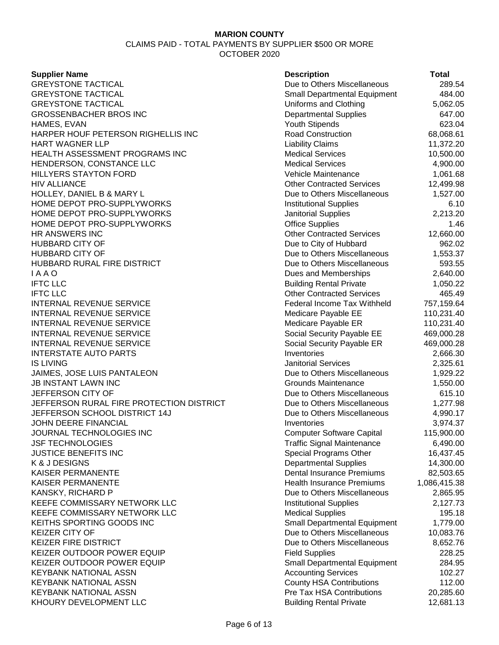CLAIMS PAID - TOTAL PAYMENTS BY SUPPLIER \$500 OR MORE OCTOBER 2020

### **Supplier Name Description Total** GREYSTONE TACTICAL **CONSULTER SETS** Due to Others Miscellaneous 289.54 GREYSTONE TACTICAL **Same Contract Contract Contract Contract Contract Contract Contract Contract Contract Contract A84.00** GREYSTONE TACTICAL **Example 20 and Clothing** 5,062.05 GROSSENBACHER BROS INC **Departmental Supplies** 647.00 HAMES, EVAN 623.04 HARPER HOUF PETERSON RIGHELLIS INC Road Construction 68,068.61 HART WAGNER LLP **Liability Claims** 11,372.20 HEALTH ASSESSMENT PROGRAMS INC **Medical Services** 10.500.00 HENDERSON, CONSTANCE LLC 
and the constant of the constant of the constant of the constant of the constant of the constant of the constant of the constant of the constant of the constant of the constant of the constant of HILLYERS STAYTON FORD **A CONSIDER THE STATE OF STATE OF A CONSIDERATION** Vehicle Maintenance **1,061.68** HIV ALLIANCE Other Contracted Services 12,499.98 HOLLEY, DANIEL B & MARY L Due to Others Miscellaneous 1,527.00 HOME DEPOT PRO-SUPPLYWORKS **Institutional Supplies** 6.10 HOME DEPOT PRO-SUPPLYWORKS **For the Contract of Contract Supplies** 2,213.20 HOME DEPOT PRO-SUPPLYWORKS **Office Supplies** 2.46 HR ANSWERS INC **ALCORAGEMENT CONTRACTED SERVICES** Of DETAILS Other Contracted Services 12,660.00 HUBBARD CITY OF **DUE THE SEXUAL SERVICE SEXUAL SERVICE SEXUAL SERVICE SEXUAL SERVICE SEXUAL SERVICE SEXUAL SERVICE SEXUAL SERVICE SEXUAL SERVICE SERVICE SERVICE SERVICE SERVICE SERVICE SERVICE SERVICE SERVICE SERVICE SERVI** HUBBARD CITY OF **Due to Others Miscellaneous** 1,553.37 HUBBARD RURAL FIRE DISTRICT **CONSIDENT ASSESS** Due to Others Miscellaneous 593.55 I A A O **Dues and Memberships** 2,640.00 IFTC LLC Building Rental Private 1,050.22 IFTC LLC Other Contracted Services 465.49 INTERNAL REVENUE SERVICE **Federal Income Tax Withheld** 757,159.64 INTERNAL REVENUE SERVICE THE SERVICE SERVICE SERVICE SUBSERVERSITY MEDICARE PAYABle EE THE 110,231.40 INTERNAL REVENUE SERVICE **Medicare Payable ER** 110,231.40 INTERNAL REVENUE SERVICE **SUBSEX 1999** Social Security Payable EE 469,000.28 INTERNAL REVENUE SERVICE **Subset of the Security Social Security Payable ER** 469,000.28 INTERSTATE AUTO PARTS **Inventories** 2,666.30 IS LIVING 2,325.61 JAIMES, JOSE LUIS PANTALEON Due to Others Miscellaneous 1,929.22 JB INSTANT LAWN INC Grounds Maintenance 1,550.00 JEFFERSON CITY OF Due to Others Miscellaneous 615.10 JEFFERSON RURAL FIRE PROTECTION DISTRICT Due to Others Miscellaneous 1,277.98 JEFFERSON SCHOOL DISTRICT 14J Due to Others Miscellaneous 4,990.17 JOHN DEERE FINANCIAL Inventories 3,974.37 JOURNAL TECHNOLOGIES INC Computer Software Capital 115,900.00 JSF TECHNOLOGIES Traffic Signal Maintenance 6,490.00 JUSTICE BENEFITS INC **Special Programs Other** 16,437.45 K & J DESIGNS 14,300.00 KAISER PERMANENTE **EXAMPLE EXAMPLE 1.5 A.C.** Dental Insurance Premiums 82,503.65 KAISER PERMANENTE **Health Insurance Premiums** 1,086,415.38 KANSKY, RICHARD P **EXECUTE:** No. 2,865.95 KEEFE COMMISSARY NETWORK LLC **Institutional Supplies** 2.127.73 KEEFE COMMISSARY NETWORK LLC **All and the Supplies** Medical Supplies 195.18 KEITHS SPORTING GOODS INC **Same Contact Contact Small Departmental Equipment** 1,779.00 KEIZER CITY OF **DUE 10.083.76** Due to Others Miscellaneous 10,083.76 KEIZER FIRE DISTRICT **Research 2006** Control Due to Others Miscellaneous 8,652.76 KEIZER OUTDOOR POWER EQUIP Field Supplies Field Supplies 228.25 KEIZER OUTDOOR POWER EQUIP SMALL DEPARTMENTAL EQUIPMENT SMALL DEPARTMENTAL EQUIPMENT ASSASSED 284.95 KEYBANK NATIONAL ASSN **Accounting Services** 102.27 KEYBANK NATIONAL ASSN **COUNTY COUNTY HOT COUNTY COUNTY ASSAULT AT A LITE OF A LITE OF A LITE OF A LITE OF A LIT** KEYBANK NATIONAL ASSN **Pre Tax HSA Contributions** 20,285.60 KHOURY DEVELOPMENT LLC **Building Rental Private** 12,681.13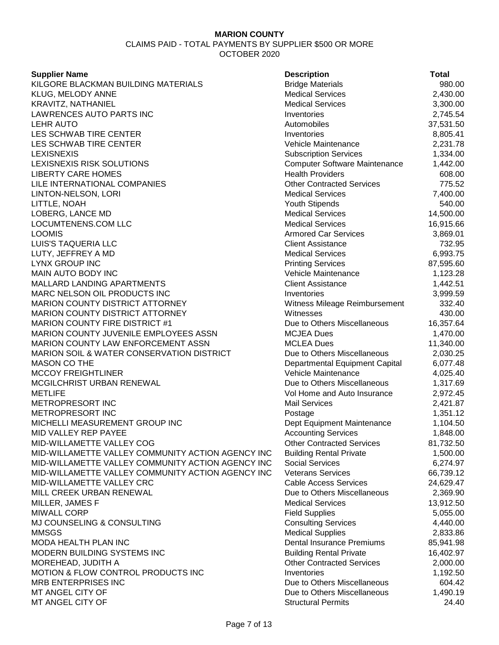| <b>Supplier Name</b>                                 | <b>Description</b>                   | Total     |
|------------------------------------------------------|--------------------------------------|-----------|
| KILGORE BLACKMAN BUILDING MATERIALS                  | <b>Bridge Materials</b>              | 980.00    |
| KLUG, MELODY ANNE                                    | <b>Medical Services</b>              | 2,430.00  |
| <b>KRAVITZ, NATHANIEL</b>                            | <b>Medical Services</b>              | 3,300.00  |
| LAWRENCES AUTO PARTS INC                             | Inventories                          | 2,745.54  |
| <b>LEHR AUTO</b>                                     | Automobiles                          | 37,531.50 |
| LES SCHWAB TIRE CENTER                               | Inventories                          | 8,805.41  |
| LES SCHWAB TIRE CENTER                               | Vehicle Maintenance                  | 2,231.78  |
| <b>LEXISNEXIS</b>                                    | <b>Subscription Services</b>         | 1,334.00  |
| LEXISNEXIS RISK SOLUTIONS                            | <b>Computer Software Maintenance</b> | 1,442.00  |
| <b>LIBERTY CARE HOMES</b>                            | <b>Health Providers</b>              | 608.00    |
| LILE INTERNATIONAL COMPANIES                         | <b>Other Contracted Services</b>     | 775.52    |
| LINTON-NELSON, LORI                                  | <b>Medical Services</b>              | 7,400.00  |
| LITTLE, NOAH                                         | Youth Stipends                       | 540.00    |
| LOBERG, LANCE MD                                     | <b>Medical Services</b>              | 14,500.00 |
| LOCUMTENENS.COM LLC                                  | <b>Medical Services</b>              | 16,915.66 |
| <b>LOOMIS</b>                                        | <b>Armored Car Services</b>          | 3,869.01  |
| LUIS'S TAQUERIA LLC                                  | <b>Client Assistance</b>             | 732.95    |
| LUTY, JEFFREY A MD                                   | <b>Medical Services</b>              | 6,993.75  |
| <b>LYNX GROUP INC</b>                                | <b>Printing Services</b>             | 87,595.60 |
| MAIN AUTO BODY INC                                   | Vehicle Maintenance                  | 1,123.28  |
| MALLARD LANDING APARTMENTS                           | <b>Client Assistance</b>             | 1,442.51  |
| MARC NELSON OIL PRODUCTS INC                         | Inventories                          | 3,999.59  |
| <b>MARION COUNTY DISTRICT ATTORNEY</b>               | Witness Mileage Reimbursement        | 332.40    |
| <b>MARION COUNTY DISTRICT ATTORNEY</b>               | Witnesses                            | 430.00    |
| <b>MARION COUNTY FIRE DISTRICT #1</b>                | Due to Others Miscellaneous          | 16,357.64 |
| MARION COUNTY JUVENILE EMPLOYEES ASSN                | <b>MCJEA Dues</b>                    | 1,470.00  |
| MARION COUNTY LAW ENFORCEMENT ASSN                   | <b>MCLEA Dues</b>                    | 11,340.00 |
| <b>MARION SOIL &amp; WATER CONSERVATION DISTRICT</b> | Due to Others Miscellaneous          | 2,030.25  |
| <b>MASON CO THE</b>                                  | Departmental Equipment Capital       | 6,077.48  |
| <b>MCCOY FREIGHTLINER</b>                            | Vehicle Maintenance                  | 4,025.40  |
| MCGILCHRIST URBAN RENEWAL                            | Due to Others Miscellaneous          | 1,317.69  |
| <b>METLIFE</b>                                       | Vol Home and Auto Insurance          | 2,972.45  |
| METROPRESORT INC                                     | <b>Mail Services</b>                 | 2,421.87  |
| METROPRESORT INC                                     | Postage                              | 1,351.12  |
| MICHELLI MEASUREMENT GROUP INC                       | Dept Equipment Maintenance           | 1,104.50  |
| MID VALLEY REP PAYEE                                 | <b>Accounting Services</b>           | 1,848.00  |
| MID-WILLAMETTE VALLEY COG                            | <b>Other Contracted Services</b>     | 81,732.50 |
| MID-WILLAMETTE VALLEY COMMUNITY ACTION AGENCY INC    | <b>Building Rental Private</b>       | 1,500.00  |
| MID-WILLAMETTE VALLEY COMMUNITY ACTION AGENCY INC    | <b>Social Services</b>               | 6,274.97  |
| MID-WILLAMETTE VALLEY COMMUNITY ACTION AGENCY INC    | <b>Veterans Services</b>             | 66,739.12 |
| MID-WILLAMETTE VALLEY CRC                            | <b>Cable Access Services</b>         | 24,629.47 |
| MILL CREEK URBAN RENEWAL                             | Due to Others Miscellaneous          | 2,369.90  |
| MILLER, JAMES F                                      | <b>Medical Services</b>              | 13,912.50 |
| <b>MIWALL CORP</b>                                   | <b>Field Supplies</b>                | 5,055.00  |
| MJ COUNSELING & CONSULTING                           | <b>Consulting Services</b>           | 4,440.00  |
| <b>MMSGS</b>                                         | <b>Medical Supplies</b>              | 2,833.86  |
| MODA HEALTH PLAN INC                                 | <b>Dental Insurance Premiums</b>     | 85,941.98 |
| MODERN BUILDING SYSTEMS INC                          | <b>Building Rental Private</b>       | 16,402.97 |
| MOREHEAD, JUDITH A                                   | <b>Other Contracted Services</b>     | 2,000.00  |
| MOTION & FLOW CONTROL PRODUCTS INC                   | Inventories                          | 1,192.50  |
| <b>MRB ENTERPRISES INC</b>                           | Due to Others Miscellaneous          | 604.42    |
| MT ANGEL CITY OF                                     | Due to Others Miscellaneous          | 1,490.19  |
| MT ANGEL CITY OF                                     | <b>Structural Permits</b>            | 24.40     |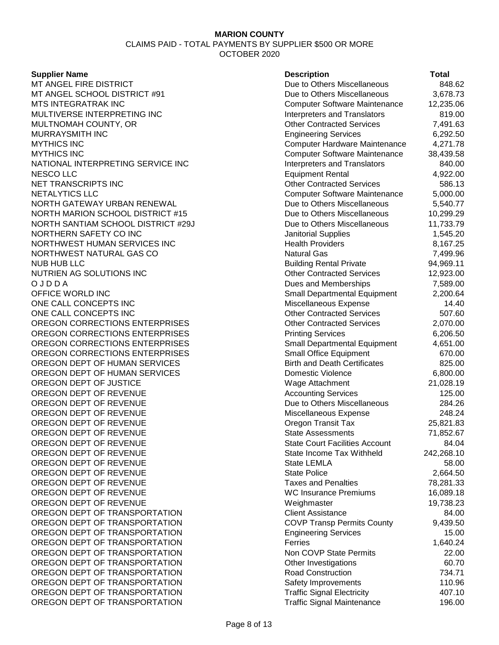#### **Supplier Name**

| <b>Supplier Name</b>               | <b>Description</b>                    | <b>Total</b> |
|------------------------------------|---------------------------------------|--------------|
| MT ANGEL FIRE DISTRICT             | Due to Others Miscellaneous           | 848.62       |
| MT ANGEL SCHOOL DISTRICT #91       | Due to Others Miscellaneous           | 3,678.73     |
| MTS INTEGRATRAK INC                | <b>Computer Software Maintenance</b>  | 12,235.06    |
| MULTIVERSE INTERPRETING INC        | <b>Interpreters and Translators</b>   | 819.00       |
| MULTNOMAH COUNTY, OR               | <b>Other Contracted Services</b>      | 7,491.63     |
| MURRAYSMITH INC                    | <b>Engineering Services</b>           | 6,292.50     |
| <b>MYTHICS INC</b>                 | Computer Hardware Maintenance         | 4,271.78     |
| <b>MYTHICS INC</b>                 | <b>Computer Software Maintenance</b>  | 38,439.58    |
| NATIONAL INTERPRETING SERVICE INC  | <b>Interpreters and Translators</b>   | 840.00       |
| NESCO LLC                          | <b>Equipment Rental</b>               | 4,922.00     |
| NET TRANSCRIPTS INC                | <b>Other Contracted Services</b>      | 586.13       |
| <b>NETALYTICS LLC</b>              | <b>Computer Software Maintenance</b>  | 5,000.00     |
| NORTH GATEWAY URBAN RENEWAL        | Due to Others Miscellaneous           | 5,540.77     |
| NORTH MARION SCHOOL DISTRICT #15   | Due to Others Miscellaneous           | 10,299.29    |
| NORTH SANTIAM SCHOOL DISTRICT #29J | Due to Others Miscellaneous           | 11,733.79    |
| NORTHERN SAFETY CO INC             | Janitorial Supplies                   | 1,545.20     |
| NORTHWEST HUMAN SERVICES INC       | <b>Health Providers</b>               | 8,167.25     |
| NORTHWEST NATURAL GAS CO           | <b>Natural Gas</b>                    | 7,499.96     |
| <b>NUB HUB LLC</b>                 | <b>Building Rental Private</b>        | 94,969.11    |
| NUTRIEN AG SOLUTIONS INC           | <b>Other Contracted Services</b>      | 12,923.00    |
| OJDDA                              | Dues and Memberships                  | 7,589.00     |
| OFFICE WORLD INC                   | <b>Small Departmental Equipment</b>   | 2,200.64     |
| ONE CALL CONCEPTS INC              | Miscellaneous Expense                 | 14.40        |
| ONE CALL CONCEPTS INC              | <b>Other Contracted Services</b>      | 507.60       |
| OREGON CORRECTIONS ENTERPRISES     | <b>Other Contracted Services</b>      | 2,070.00     |
| OREGON CORRECTIONS ENTERPRISES     | <b>Printing Services</b>              | 6,206.50     |
| OREGON CORRECTIONS ENTERPRISES     | <b>Small Departmental Equipment</b>   | 4,651.00     |
| OREGON CORRECTIONS ENTERPRISES     | <b>Small Office Equipment</b>         | 670.00       |
| OREGON DEPT OF HUMAN SERVICES      | <b>Birth and Death Certificates</b>   | 825.00       |
| OREGON DEPT OF HUMAN SERVICES      | <b>Domestic Violence</b>              | 6,800.00     |
| OREGON DEPT OF JUSTICE             | Wage Attachment                       | 21,028.19    |
| OREGON DEPT OF REVENUE             | <b>Accounting Services</b>            | 125.00       |
| OREGON DEPT OF REVENUE             | Due to Others Miscellaneous           | 284.26       |
| OREGON DEPT OF REVENUE             | Miscellaneous Expense                 | 248.24       |
| OREGON DEPT OF REVENUE             | Oregon Transit Tax                    | 25,821.83    |
| OREGON DEPT OF REVENUE             | <b>State Assessments</b>              | 71,852.67    |
| OREGON DEPT OF REVENUE             | <b>State Court Facilities Account</b> | 84.04        |
| OREGON DEPT OF REVENUE             | State Income Tax Withheld             | 242,268.10   |
| OREGON DEPT OF REVENUE             | <b>State LEMLA</b>                    | 58.00        |
| OREGON DEPT OF REVENUE             | <b>State Police</b>                   | 2,664.50     |
| OREGON DEPT OF REVENUE             | <b>Taxes and Penalties</b>            | 78,281.33    |
| OREGON DEPT OF REVENUE             | <b>WC Insurance Premiums</b>          | 16,089.18    |
| OREGON DEPT OF REVENUE             | Weighmaster                           | 19,738.23    |
| OREGON DEPT OF TRANSPORTATION      | <b>Client Assistance</b>              | 84.00        |
| OREGON DEPT OF TRANSPORTATION      | <b>COVP Transp Permits County</b>     | 9,439.50     |
| OREGON DEPT OF TRANSPORTATION      | <b>Engineering Services</b>           | 15.00        |
| OREGON DEPT OF TRANSPORTATION      | Ferries                               | 1,640.24     |
| OREGON DEPT OF TRANSPORTATION      | Non COVP State Permits                | 22.00        |
| OREGON DEPT OF TRANSPORTATION      | Other Investigations                  | 60.70        |
| OREGON DEPT OF TRANSPORTATION      | <b>Road Construction</b>              | 734.71       |
| OREGON DEPT OF TRANSPORTATION      | Safety Improvements                   | 110.96       |
| OREGON DEPT OF TRANSPORTATION      | <b>Traffic Signal Electricity</b>     | 407.10       |
| OREGON DEPT OF TRANSPORTATION      | <b>Traffic Signal Maintenance</b>     | 196.00       |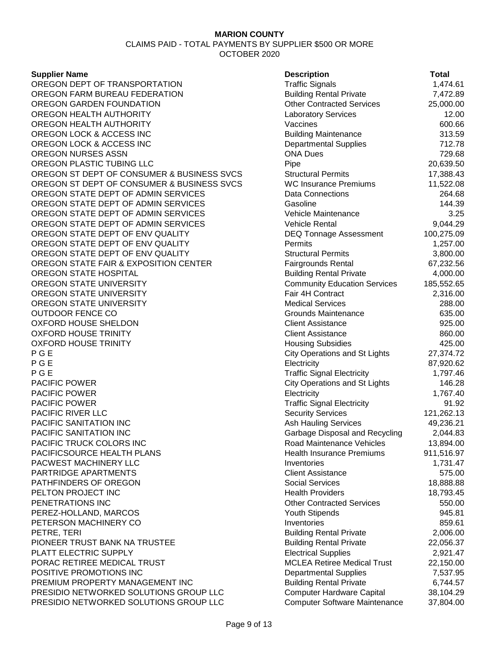#### **Supplier Name**

OREGON DEPT OF TRANSPORTATION OREGON FARM BUREAU FEDERATION OREGON GARDEN FOUNDATION OREGON HEALTH AUTHORITY OREGON HEALTH AUTHORITY OREGON LOCK & ACCESS INC OREGON LOCK & ACCESS INC OREGON NURSES ASSN OREGON PLASTIC TUBING LLC OREGON ST DEPT OF CONSUMER & BUSINESS SVCS OREGON ST DEPT OF CONSUMER & BUSINESS SVCS OREGON STATE DEPT OF ADMIN SERVICES OREGON STATE DEPT OF ADMIN SERVICES OREGON STATE DEPT OF ADMIN SERVICES OREGON STATE DEPT OF ADMIN SERVICES OREGON STATE DEPT OF ENV QUALITY OREGON STATE DEPT OF ENV QUALITY OREGON STATE DEPT OF ENV QUALITY OREGON STATE FAIR & EXPOSITION CENTER OREGON STATE HOSPITAL OREGON STATE UNIVERSITY OREGON STATE UNIVERSITY OREGON STATE UNIVERSITY **OUTDOOR FENCE CO** OXFORD HOUSE SHELDON **OXFORD HOUSE TRINITY** OXFORD HOUSE TRINITY P G E City Operations and St Lights 27,374.72 P G E Electricity 87,920.62 P G E Traffic Signal Electricity 1,797.46 **PACIFIC POWER PACIFIC POWER** PACIFIC POWER **PACIFIC RIVER LLC** PACIFIC SANITATION INC PACIFIC SANITATION INC PACIFIC TRUCK COLORS INC PACIFICSOURCE HEALTH PLANS PACWEST MACHINERY LLC PARTRIDGE APARTMENTS PATHFINDERS OF OREGON PELTON PROJECT INC PENETRATIONS INC PEREZ-HOLLAND, MARCOS PETERSON MACHINERY CO PETRE, TERI Building Rental Private 2,006.00 PIONEER TRUST BANK NA TRUSTEE PLATT ELECTRIC SUPPLY PORAC RETIREE MEDICAL TRUST POSITIVE PROMOTIONS INC PREMIUM PROPERTY MANAGEMENT INC PRESIDIO NETWORKED SOLUTIONS GROUP LLC PRESIDIO NETWORKED SOLUTIONS GROUP LLC Computer Software Maintenance

| <b>Description</b>                                                | Total                  |
|-------------------------------------------------------------------|------------------------|
| <b>Traffic Signals</b>                                            | 1,474.61               |
| <b>Building Rental Private</b>                                    | 7,472.89               |
| <b>Other Contracted Services</b>                                  | 25,000.00              |
| <b>Laboratory Services</b>                                        | 12.00                  |
| Vaccines                                                          | 600.66                 |
| <b>Building Maintenance</b>                                       | 313.59                 |
| <b>Departmental Supplies</b>                                      | 712.78                 |
| <b>ONA Dues</b>                                                   | 729.68                 |
| Pipe                                                              | 20,639.50              |
| Structural Permits                                                | 17,388.43              |
| <b>WC Insurance Premiums</b>                                      | 11,522.08              |
| <b>Data Connections</b>                                           | 264.68                 |
| Gasoline                                                          | 144.39                 |
| Vehicle Maintenance                                               | 3.25                   |
| <b>Vehicle Rental</b>                                             | 9,044.29               |
| <b>DEQ Tonnage Assessment</b>                                     | 100,275.09             |
| Permits                                                           | 1,257.00               |
| <b>Structural Permits</b>                                         | 3,800.00               |
| <b>Fairgrounds Rental</b>                                         | 67,232.56              |
| <b>Building Rental Private</b>                                    | 4,000.00               |
| <b>Community Education Services</b>                               | 185,552.65             |
| Fair 4H Contract                                                  | 2,316.00               |
| <b>Medical Services</b>                                           | 288.00                 |
| <b>Grounds Maintenance</b>                                        | 635.00                 |
| <b>Client Assistance</b>                                          | 925.00                 |
| <b>Client Assistance</b>                                          | 860.00                 |
| <b>Housing Subsidies</b>                                          | 425.00                 |
| <b>City Operations and St Lights</b>                              | 27,374.72              |
| Electricity                                                       | 87,920.62              |
| <b>Traffic Signal Electricity</b>                                 | 1,797.46               |
| <b>City Operations and St Lights</b>                              | 146.28                 |
| Electricity                                                       | 1,767.40               |
| <b>Traffic Signal Electricity</b>                                 | 91.92                  |
| <b>Security Services</b>                                          | 121,262.13             |
| Ash Hauling Services                                              | 49,236.21              |
| Garbage Disposal and Recycling                                    | 2,044.83               |
| Road Maintenance Vehicles                                         | 13,894.00              |
| <b>Health Insurance Premiums</b>                                  | 911,516.97             |
| Inventories                                                       | 1,731.47               |
| <b>Client Assistance</b>                                          | 575.00                 |
| <b>Social Services</b>                                            | 18,888.88              |
| <b>Health Providers</b>                                           | 18,793.45              |
| <b>Other Contracted Services</b>                                  | 550.00                 |
| <b>Youth Stipends</b>                                             | 945.81                 |
| Inventories                                                       | 859.61                 |
| <b>Building Rental Private</b>                                    | 2,006.00               |
| <b>Building Rental Private</b>                                    | 22,056.37              |
| <b>Electrical Supplies</b>                                        | 2,921.47               |
| <b>MCLEA Retiree Medical Trust</b>                                | 22,150.00              |
| <b>Departmental Supplies</b>                                      | 7,537.95               |
| <b>Building Rental Private</b>                                    | 6,744.57               |
| <b>Computer Hardware Capital</b><br>Computer Software Maintenance | 38,104.29<br>37 804 00 |
|                                                                   |                        |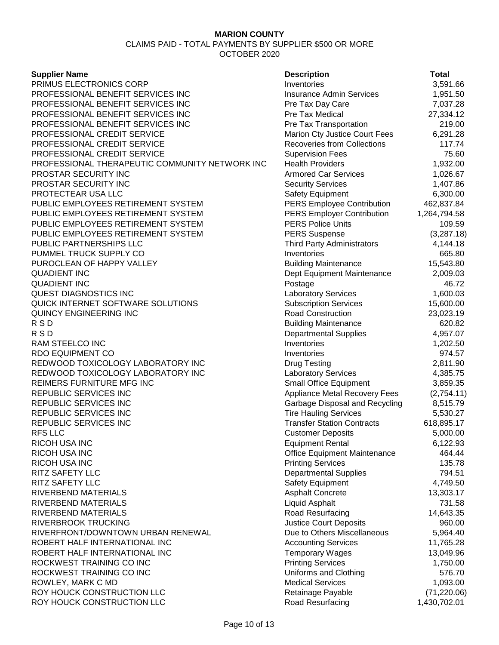CLAIMS PAID - TOTAL PAYMENTS BY SUPPLIER \$500 OR MORE OCTOBER 2020

|  | Supplier Name |  |
|--|---------------|--|
|  |               |  |

| <b>Supplier Name</b>                           | <b>Description</b>                  | <b>Total</b> |
|------------------------------------------------|-------------------------------------|--------------|
| PRIMUS ELECTRONICS CORP                        | Inventories                         | 3,591.66     |
| PROFESSIONAL BENEFIT SERVICES INC              | <b>Insurance Admin Services</b>     | 1,951.50     |
| PROFESSIONAL BENEFIT SERVICES INC              | Pre Tax Day Care                    | 7,037.28     |
| PROFESSIONAL BENEFIT SERVICES INC              | Pre Tax Medical                     | 27,334.12    |
| PROFESSIONAL BENEFIT SERVICES INC              | Pre Tax Transportation              | 219.00       |
| PROFESSIONAL CREDIT SERVICE                    | Marion Cty Justice Court Fees       | 6,291.28     |
| PROFESSIONAL CREDIT SERVICE                    | <b>Recoveries from Collections</b>  | 117.74       |
| PROFESSIONAL CREDIT SERVICE                    | <b>Supervision Fees</b>             | 75.60        |
| PROFESSIONAL THERAPEUTIC COMMUNITY NETWORK INC | <b>Health Providers</b>             | 1,932.00     |
| PROSTAR SECURITY INC                           | <b>Armored Car Services</b>         | 1,026.67     |
| PROSTAR SECURITY INC                           | <b>Security Services</b>            | 1,407.86     |
| PROTECTEAR USA LLC                             | <b>Safety Equipment</b>             | 6,300.00     |
| PUBLIC EMPLOYEES RETIREMENT SYSTEM             | <b>PERS Employee Contribution</b>   | 462,837.84   |
| PUBLIC EMPLOYEES RETIREMENT SYSTEM             | <b>PERS Employer Contribution</b>   | 1,264,794.58 |
| PUBLIC EMPLOYEES RETIREMENT SYSTEM             | <b>PERS Police Units</b>            | 109.59       |
| PUBLIC EMPLOYEES RETIREMENT SYSTEM             | <b>PERS Suspense</b>                | (3,287.18)   |
| PUBLIC PARTNERSHIPS LLC                        | <b>Third Party Administrators</b>   | 4,144.18     |
| PUMMEL TRUCK SUPPLY CO                         | Inventories                         | 665.80       |
| PUROCLEAN OF HAPPY VALLEY                      | <b>Building Maintenance</b>         | 15,543.80    |
| <b>QUADIENT INC</b>                            | Dept Equipment Maintenance          | 2,009.03     |
| <b>QUADIENT INC</b>                            |                                     | 46.72        |
| <b>QUEST DIAGNOSTICS INC</b>                   | Postage                             | 1,600.03     |
| QUICK INTERNET SOFTWARE SOLUTIONS              | <b>Laboratory Services</b>          |              |
|                                                | <b>Subscription Services</b>        | 15,600.00    |
| QUINCY ENGINEERING INC                         | <b>Road Construction</b>            | 23,023.19    |
| RSD                                            | <b>Building Maintenance</b>         | 620.82       |
| R S D                                          | <b>Departmental Supplies</b>        | 4,957.07     |
| RAM STEELCO INC                                | Inventories                         | 1,202.50     |
| RDO EQUIPMENT CO                               | Inventories                         | 974.57       |
| REDWOOD TOXICOLOGY LABORATORY INC              | <b>Drug Testing</b>                 | 2,811.90     |
| REDWOOD TOXICOLOGY LABORATORY INC              | <b>Laboratory Services</b>          | 4,385.75     |
| REIMERS FURNITURE MFG INC                      | <b>Small Office Equipment</b>       | 3,859.35     |
| REPUBLIC SERVICES INC                          | Appliance Metal Recovery Fees       | (2,754.11)   |
| REPUBLIC SERVICES INC                          | Garbage Disposal and Recycling      | 8,515.79     |
| REPUBLIC SERVICES INC                          | <b>Tire Hauling Services</b>        | 5,530.27     |
| REPUBLIC SERVICES INC                          | <b>Transfer Station Contracts</b>   | 618,895.17   |
| <b>RFS LLC</b>                                 | <b>Customer Deposits</b>            | 5,000.00     |
| RICOH USA INC                                  | <b>Equipment Rental</b>             | 6,122.93     |
| RICOH USA INC                                  | <b>Office Equipment Maintenance</b> | 464.44       |
| RICOH USA INC                                  | <b>Printing Services</b>            | 135.78       |
| RITZ SAFETY LLC                                | <b>Departmental Supplies</b>        | 794.51       |
| RITZ SAFETY LLC                                | Safety Equipment                    | 4,749.50     |
| RIVERBEND MATERIALS                            | <b>Asphalt Concrete</b>             | 13,303.17    |
| RIVERBEND MATERIALS                            | <b>Liquid Asphalt</b>               | 731.58       |
| RIVERBEND MATERIALS                            | Road Resurfacing                    | 14,643.35    |
| RIVERBROOK TRUCKING                            | <b>Justice Court Deposits</b>       | 960.00       |
| RIVERFRONT/DOWNTOWN URBAN RENEWAL              | Due to Others Miscellaneous         | 5,964.40     |
| ROBERT HALF INTERNATIONAL INC                  | <b>Accounting Services</b>          | 11,765.28    |
| ROBERT HALF INTERNATIONAL INC                  | <b>Temporary Wages</b>              | 13,049.96    |
| ROCKWEST TRAINING CO INC                       | <b>Printing Services</b>            | 1,750.00     |
| ROCKWEST TRAINING CO INC                       | Uniforms and Clothing               | 576.70       |
| ROWLEY, MARK C MD                              | <b>Medical Services</b>             | 1,093.00     |
| ROY HOUCK CONSTRUCTION LLC                     | Retainage Payable                   | (71, 220.06) |
| ROY HOUCK CONSTRUCTION I LC                    | Road Resurfacing                    | 1 430 702 01 |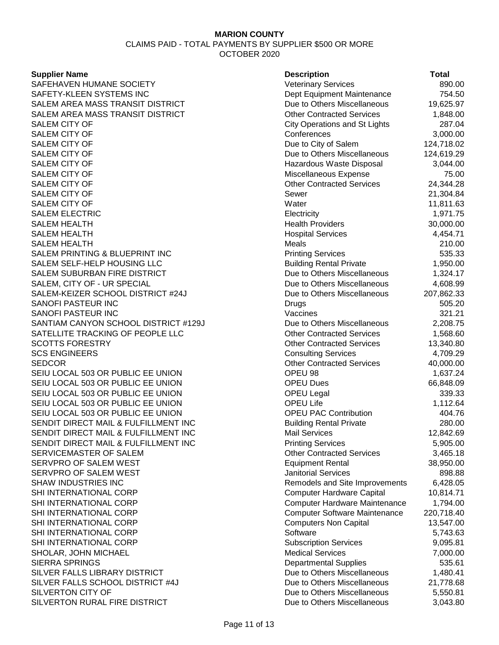CLAIMS PAID - TOTAL PAYMENTS BY SUPPLIER \$500 OR MORE OCTOBER 2020

### **Supplier Name**

| <b>Supplier Name</b>                 | <b>Description</b>                   | <b>Total</b> |
|--------------------------------------|--------------------------------------|--------------|
| SAFEHAVEN HUMANE SOCIETY             | <b>Veterinary Services</b>           | 890.00       |
| SAFETY-KLEEN SYSTEMS INC             | Dept Equipment Maintenance           | 754.50       |
| SALEM AREA MASS TRANSIT DISTRICT     | Due to Others Miscellaneous          | 19,625.97    |
| SALEM AREA MASS TRANSIT DISTRICT     | <b>Other Contracted Services</b>     | 1,848.00     |
| <b>SALEM CITY OF</b>                 | <b>City Operations and St Lights</b> | 287.04       |
| SALEM CITY OF                        | Conferences                          | 3,000.00     |
| <b>SALEM CITY OF</b>                 | Due to City of Salem                 | 124,718.02   |
| <b>SALEM CITY OF</b>                 | Due to Others Miscellaneous          | 124,619.29   |
| <b>SALEM CITY OF</b>                 | Hazardous Waste Disposal             | 3,044.00     |
| SALEM CITY OF                        | Miscellaneous Expense                | 75.00        |
| SALEM CITY OF                        | <b>Other Contracted Services</b>     | 24,344.28    |
| SALEM CITY OF                        | Sewer                                | 21,304.84    |
| <b>SALEM CITY OF</b>                 | Water                                | 11,811.63    |
| <b>SALEM ELECTRIC</b>                | Electricity                          | 1,971.75     |
| <b>SALEM HEALTH</b>                  | <b>Health Providers</b>              | 30,000.00    |
| <b>SALEM HEALTH</b>                  | <b>Hospital Services</b>             | 4,454.71     |
| <b>SALEM HEALTH</b>                  | Meals                                | 210.00       |
| SALEM PRINTING & BLUEPRINT INC       | <b>Printing Services</b>             | 535.33       |
| SALEM SELF-HELP HOUSING LLC          | <b>Building Rental Private</b>       | 1,950.00     |
| SALEM SUBURBAN FIRE DISTRICT         | Due to Others Miscellaneous          | 1,324.17     |
| SALEM, CITY OF - UR SPECIAL          | Due to Others Miscellaneous          | 4,608.99     |
| SALEM-KEIZER SCHOOL DISTRICT #24J    | Due to Others Miscellaneous          | 207,862.33   |
| SANOFI PASTEUR INC                   | Drugs                                | 505.20       |
| SANOFI PASTEUR INC                   | Vaccines                             | 321.21       |
| SANTIAM CANYON SCHOOL DISTRICT #129J | Due to Others Miscellaneous          | 2,208.75     |
| SATELLITE TRACKING OF PEOPLE LLC     | <b>Other Contracted Services</b>     | 1,568.60     |
| <b>SCOTTS FORESTRY</b>               | <b>Other Contracted Services</b>     | 13,340.80    |
| <b>SCS ENGINEERS</b>                 | <b>Consulting Services</b>           | 4,709.29     |
| SEDCOR                               | <b>Other Contracted Services</b>     | 40,000.00    |
| SEIU LOCAL 503 OR PUBLIC EE UNION    | OPEU 98                              | 1,637.24     |
| SEIU LOCAL 503 OR PUBLIC EE UNION    | <b>OPEU Dues</b>                     | 66,848.09    |
| SEIU LOCAL 503 OR PUBLIC EE UNION    | <b>OPEU Legal</b>                    | 339.33       |
| SEIU LOCAL 503 OR PUBLIC EE UNION    | <b>OPEU Life</b>                     | 1,112.64     |
| SEIU LOCAL 503 OR PUBLIC EE UNION    | <b>OPEU PAC Contribution</b>         | 404.76       |
| SENDIT DIRECT MAIL & FULFILLMENT INC | <b>Building Rental Private</b>       | 280.00       |
| SENDIT DIRECT MAIL & FULFILLMENT INC | <b>Mail Services</b>                 | 12,842.69    |
| SENDIT DIRECT MAIL & FULFILLMENT INC | <b>Printing Services</b>             | 5,905.00     |
| SERVICEMASTER OF SALEM               | <b>Other Contracted Services</b>     | 3,465.18     |
| SERVPRO OF SALEM WEST                | <b>Equipment Rental</b>              | 38,950.00    |
| SERVPRO OF SALEM WEST                | <b>Janitorial Services</b>           | 898.88       |
| SHAW INDUSTRIES INC                  | Remodels and Site Improvements       | 6,428.05     |
| SHI INTERNATIONAL CORP               | <b>Computer Hardware Capital</b>     | 10,814.71    |
| SHI INTERNATIONAL CORP               | Computer Hardware Maintenance        | 1,794.00     |
| SHI INTERNATIONAL CORP               | <b>Computer Software Maintenance</b> | 220,718.40   |
| SHI INTERNATIONAL CORP               | <b>Computers Non Capital</b>         | 13,547.00    |
| SHI INTERNATIONAL CORP               | Software                             | 5,743.63     |
| SHI INTERNATIONAL CORP               | <b>Subscription Services</b>         | 9,095.81     |
| SHOLAR, JOHN MICHAEL                 | <b>Medical Services</b>              | 7,000.00     |
| SIERRA SPRINGS                       | <b>Departmental Supplies</b>         | 535.61       |
| SILVER FALLS LIBRARY DISTRICT        | Due to Others Miscellaneous          | 1,480.41     |
| SILVER FALLS SCHOOL DISTRICT #4J     | Due to Others Miscellaneous          | 21,778.68    |
| SILVERTON CITY OF                    | Due to Others Miscellaneous          | 5,550.81     |
| SILVERTON RURAL FIRE DISTRICT        | Due to Others Miscellaneous          | 3,043.80     |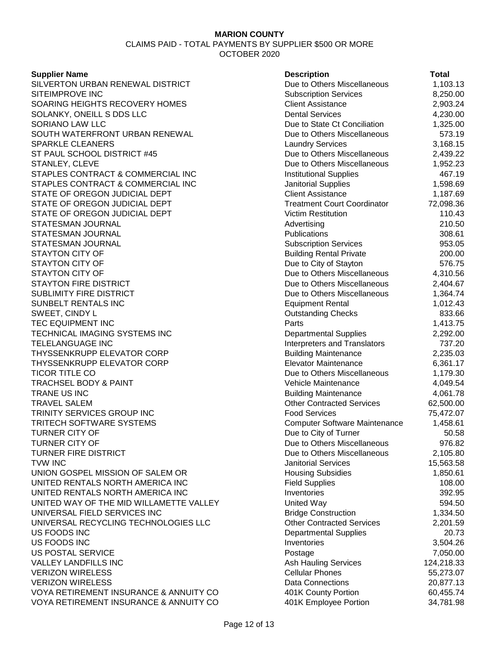CLAIMS PAID - TOTAL PAYMENTS BY SUPPLIER \$500 OR MORE OCTOBER 2020

#### **Supplier Name**

SILVERTON URBAN RENEWAL DISTRICT SITEIMPROVE INC SOARING HEIGHTS RECOVERY HOMES SOLANKY, ONEILL S DDS LLC SORIANO LAW LLC SOUTH WATERFRONT URBAN RENEWAL SPARKLE CLEANERS ST PAUL SCHOOL DISTRICT #45 STANLEY, CLEVE STAPLES CONTRACT & COMMERCIAL INC STAPLES CONTRACT & COMMERCIAL INC STATE OF OREGON JUDICIAL DEPT STATE OF OREGON JUDICIAL DEPT STATE OF OREGON JUDICIAL DEPT STATESMAN JOURNAL STATESMAN JOURNAL STATESMAN JOURNAL STAYTON CITY OF STAYTON CITY OF STAYTON CITY OF STAYTON FIRE DISTRICT SUBLIMITY FIRE DISTRICT SUNBELT RENTALS INC SWEET, CINDY L TEC EQUIPMENT INC TECHNICAL IMAGING SYSTEMS INC **TELELANGUAGE INC** THYSSENKRUPP ELEVATOR CORP THYSSENKRUPP ELEVATOR CORP TICOR TITLE CO **TRACHSEL BODY & PAINT** TRANE US INC TRAVEL SALEM TRINITY SERVICES GROUP INC TRITECH SOFTWARE SYSTEMS **TURNER CITY OF TURNER CITY OF** TURNER FIRE DISTRICT TVW INC 15,563.58 UNION GOSPEL MISSION OF SALEM OR UNITED RENTALS NORTH AMERICA INC UNITED RENTALS NORTH AMERICA INC UNITED WAY OF THE MID WILLAMETTE VALLEY UNIVERSAL FIELD SERVICES INC UNIVERSAL RECYCLING TECHNOLOGIES LLC US FOODS INC US FOODS INC **US POSTAL SERVICE** VALLEY LANDFILLS INC **VERIZON WIRELESS VERIZON WIRELESS** VOYA RETIREMENT INSURANCE & ANNUITY CO VOYA RETIREMENT INSURANCE & ANNUITY CO

| <b>Description</b>                   | Total      |
|--------------------------------------|------------|
| Due to Others Miscellaneous          | 1,103.13   |
| <b>Subscription Services</b>         | 8,250.00   |
| <b>Client Assistance</b>             | 2,903.24   |
| <b>Dental Services</b>               | 4,230.00   |
| Due to State Ct Conciliation         | 1,325.00   |
| Due to Others Miscellaneous          | 573.19     |
| <b>Laundry Services</b>              | 3,168.15   |
| Due to Others Miscellaneous          | 2,439.22   |
| Due to Others Miscellaneous          | 1,952.23   |
| <b>Institutional Supplies</b>        | 467.19     |
| <b>Janitorial Supplies</b>           | 1,598.69   |
| <b>Client Assistance</b>             | 1,187.69   |
| <b>Treatment Court Coordinator</b>   | 72,098.36  |
| <b>Victim Restitution</b>            | 110.43     |
| Advertising                          | 210.50     |
| Publications                         | 308.61     |
| <b>Subscription Services</b>         | 953.05     |
| <b>Building Rental Private</b>       | 200.00     |
| Due to City of Stayton               | 576.75     |
| Due to Others Miscellaneous          | 4,310.56   |
| Due to Others Miscellaneous          | 2,404.67   |
| Due to Others Miscellaneous          | 1,364.74   |
| <b>Equipment Rental</b>              | 1,012.43   |
| <b>Outstanding Checks</b>            | 833.66     |
| Parts                                | 1,413.75   |
| <b>Departmental Supplies</b>         | 2,292.00   |
| <b>Interpreters and Translators</b>  | 737.20     |
| <b>Building Maintenance</b>          | 2,235.03   |
| <b>Elevator Maintenance</b>          | 6,361.17   |
| Due to Others Miscellaneous          | 1,179.30   |
| Vehicle Maintenance                  | 4,049.54   |
| <b>Building Maintenance</b>          | 4,061.78   |
| <b>Other Contracted Services</b>     | 62,500.00  |
| <b>Food Services</b>                 | 75,472.07  |
| <b>Computer Software Maintenance</b> | 1,458.61   |
| Due to City of Turner                | 50.58      |
| Due to Others Miscellaneous          | 976.82     |
| Due to Others Miscellaneous          | 2,105.80   |
| <b>Janitorial Services</b>           | 15,563.58  |
| <b>Housing Subsidies</b>             | 1,850.61   |
| <b>Field Supplies</b>                | 108.00     |
| Inventories                          | 392.95     |
| <b>United Way</b>                    | 594.50     |
| <b>Bridge Construction</b>           | 1,334.50   |
| <b>Other Contracted Services</b>     | 2,201.59   |
| <b>Departmental Supplies</b>         | 20.73      |
| Inventories                          | 3,504.26   |
| Postage                              | 7,050.00   |
| <b>Ash Hauling Services</b>          | 124,218.33 |
| <b>Cellular Phones</b>               | 55,273.07  |
| Data Connections                     | 20,877.13  |
| 401K County Portion                  | 60,455.74  |
| 401K Employee Portion                | 34,781.98  |